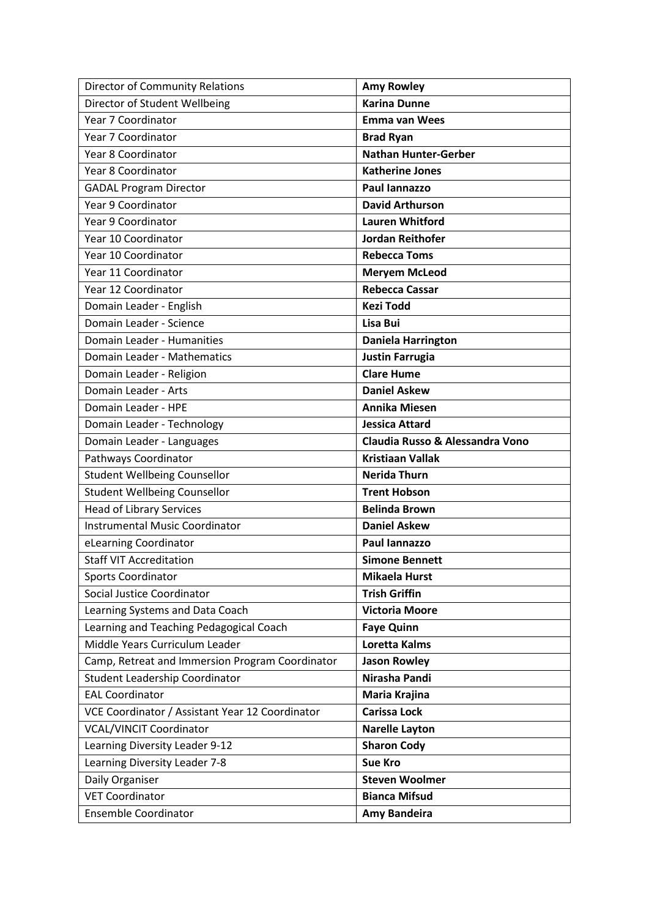| <b>Director of Community Relations</b>          | <b>Amy Rowley</b>               |
|-------------------------------------------------|---------------------------------|
| Director of Student Wellbeing                   | <b>Karina Dunne</b>             |
| Year 7 Coordinator                              | <b>Emma van Wees</b>            |
| Year 7 Coordinator                              | <b>Brad Ryan</b>                |
| Year 8 Coordinator                              | <b>Nathan Hunter-Gerber</b>     |
| Year 8 Coordinator                              | <b>Katherine Jones</b>          |
| <b>GADAL Program Director</b>                   | Paul Iannazzo                   |
| Year 9 Coordinator                              | <b>David Arthurson</b>          |
| Year 9 Coordinator                              | <b>Lauren Whitford</b>          |
| Year 10 Coordinator                             | <b>Jordan Reithofer</b>         |
| Year 10 Coordinator                             | <b>Rebecca Toms</b>             |
| Year 11 Coordinator                             | <b>Meryem McLeod</b>            |
| Year 12 Coordinator                             | <b>Rebecca Cassar</b>           |
| Domain Leader - English                         | <b>Kezi Todd</b>                |
| Domain Leader - Science                         | Lisa Bui                        |
| Domain Leader - Humanities                      | <b>Daniela Harrington</b>       |
| Domain Leader - Mathematics                     | <b>Justin Farrugia</b>          |
| Domain Leader - Religion                        | <b>Clare Hume</b>               |
| Domain Leader - Arts                            | <b>Daniel Askew</b>             |
| Domain Leader - HPE                             | <b>Annika Miesen</b>            |
| Domain Leader - Technology                      | <b>Jessica Attard</b>           |
| Domain Leader - Languages                       | Claudia Russo & Alessandra Vono |
| Pathways Coordinator                            | <b>Kristiaan Vallak</b>         |
| <b>Student Wellbeing Counsellor</b>             | <b>Nerida Thurn</b>             |
| <b>Student Wellbeing Counsellor</b>             | <b>Trent Hobson</b>             |
| <b>Head of Library Services</b>                 | <b>Belinda Brown</b>            |
|                                                 |                                 |
| <b>Instrumental Music Coordinator</b>           | <b>Daniel Askew</b>             |
| eLearning Coordinator                           | Paul lannazzo                   |
| <b>Staff VIT Accreditation</b>                  | <b>Simone Bennett</b>           |
| Sports Coordinator                              | <b>Mikaela Hurst</b>            |
| Social Justice Coordinator                      | <b>Trish Griffin</b>            |
| Learning Systems and Data Coach                 | <b>Victoria Moore</b>           |
| Learning and Teaching Pedagogical Coach         | <b>Faye Quinn</b>               |
| Middle Years Curriculum Leader                  | <b>Loretta Kalms</b>            |
| Camp, Retreat and Immersion Program Coordinator | <b>Jason Rowley</b>             |
| <b>Student Leadership Coordinator</b>           | Nirasha Pandi                   |
| <b>EAL Coordinator</b>                          | Maria Krajina                   |
| VCE Coordinator / Assistant Year 12 Coordinator | <b>Carissa Lock</b>             |
| <b>VCAL/VINCIT Coordinator</b>                  | <b>Narelle Layton</b>           |
| Learning Diversity Leader 9-12                  | <b>Sharon Cody</b>              |
| Learning Diversity Leader 7-8                   | <b>Sue Kro</b>                  |
| Daily Organiser                                 | <b>Steven Woolmer</b>           |
| <b>VET Coordinator</b>                          | <b>Bianca Mifsud</b>            |